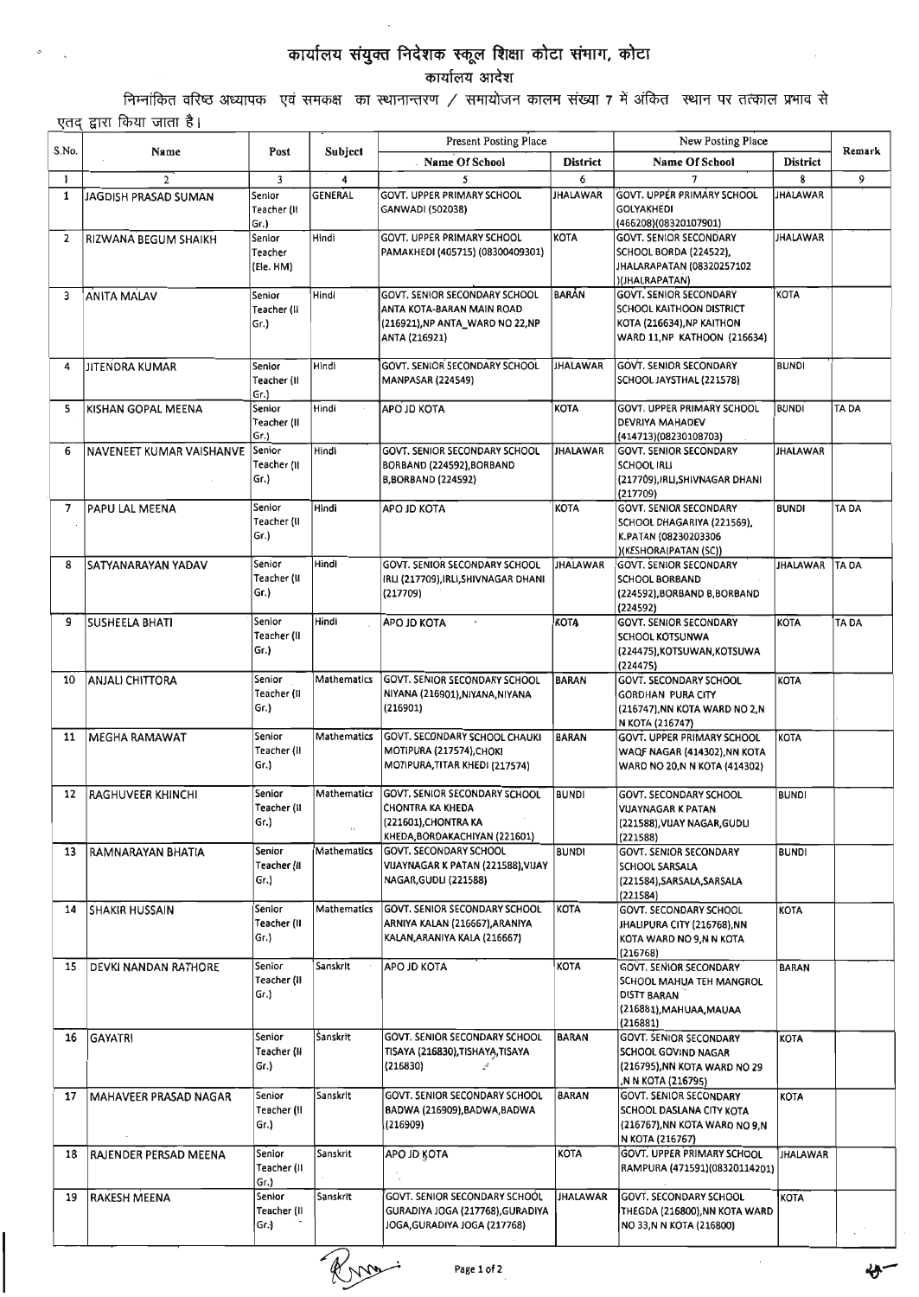## कार्यालय संयुक्त निदेशक स्कूल शिक्षा कोटा संमाग, कोटा

कार्यालय आदेश

निम्नांकित वरिष्ठ अध्यापक एवं समकक्ष का स्थानान्तरण / समायोजन कालम संख्या 7 में अंकित स्थान पर तत्काल प्रभाव से एतद द्वारा किया जाता है।

|       |                          |                                |                        | Present Posting Place                                                                                                    |                             | New Posting Place                                                                                                                       |                         | Remark      |
|-------|--------------------------|--------------------------------|------------------------|--------------------------------------------------------------------------------------------------------------------------|-----------------------------|-----------------------------------------------------------------------------------------------------------------------------------------|-------------------------|-------------|
| S.No. | Name                     | Post                           | Subject                | <b>Name Of School</b>                                                                                                    | <b>District</b>             | <b>Name Of School</b>                                                                                                                   | <b>District</b>         |             |
| 1     | $\overline{2}$           | $\overline{3}$                 | 4                      | 5                                                                                                                        | 6                           | 7                                                                                                                                       | 8                       | 9           |
| 1     | JAGDISH PRASAD SUMAN     | Senior<br>Teacher (H<br>Gr.)   | <b>GENERAL</b>         | <b>GOVT. UPPER PRIMARY SCHOOL</b><br>GANWADI (502038)                                                                    | <b>JHALAWAR</b>             | <b>GOVT. UPPER PRIMARY SCHOOL</b><br><b>GOLYAKHEDI</b><br>(466208)(08320107901)                                                         | <b>JHALAWAR</b>         |             |
| 2     | RIZWANA BEGUM SHAIKH     | Senior<br>Teacher<br>(Ele. HM) | Hindi<br>Hindi         | GOVT. UPPER PRIMARY SCHOOL<br>PAMAKHEDI (405715) (08300409301)<br>GOVT. SENIOR SECONDARY SCHOOL                          | <b>KOTA</b><br><b>BARAN</b> | <b>GOVT. SENIOR SECONDARY</b><br>SCHOOL BORDA (224522),<br>JHALARAPATAN (08320257102<br>)(JHALRAPATAN)<br><b>GOVT. SENIOR SECONDARY</b> | <b>JHALAWAR</b><br>KOTA |             |
| з     | <b>ANITA MALAV</b>       | Senior<br>Teacher (II<br>Gr.)  |                        | ANTA KOTA-BARAN MAIN ROAD<br>(216921), NP ANTA_WARD NO 22, NP<br>ANTA (216921)                                           |                             | SCHOOL KAITHOON DISTRICT<br>KOTA (216634), NP KAITHON<br>WARD 11, NP KATHOON (216634)                                                   |                         |             |
| 4     | JITENORA KUMAR           | Senior<br>Teacher (II<br>Gr.   | Hindi                  | <b>GOVT. SENIOR SECONDARY SCHOOL</b><br><b>MANPASAR (224549)</b>                                                         | <b>JHALAWAR</b>             | <b>GOVT. SENIOR SECONDARY</b><br>SCHOOL JAYSTHAL (221578)                                                                               | <b>BUNDI</b>            |             |
| 5     | KISHAN GOPAL MEENA       | Senior<br>Teacher (II<br>Gr.)  | Hindi                  | APO JD KOTA                                                                                                              | <b>KOTA</b>                 | GOVT. UPPER PRIMARY SCHOOL<br>DEVRIYA MAHADEV<br>(414713)(08230108703)                                                                  | <b>BUNDI</b>            | TA DA       |
| 6     | NAVENEET KUMAR VAISHANVE | Senior<br>Teacher (11<br>Gr.)  | Hindi                  | <b>GOVT. SENIOR SECONDARY SCHOOL</b><br>BORBAND (224592), BORBAND<br><b>B,BORBAND (224592)</b>                           | <b>JHALAWAR</b>             | <b>GOVT. SENIOR SECONDARY</b><br><b>SCHOOL IRLI</b><br>(217709), IRLI, SHIVNAGAR DHANI<br>(217709)                                      | <b>JHALAWAR</b>         |             |
| 7     | PAPU LAL MEENA           | Senior<br>Teacher (II<br>Gr.)  | Hindi                  | APO JD KOTA                                                                                                              | <b>KOTA</b>                 | <b>GOVT. SENIOR SECONDARY</b><br>SCHOOL DHAGARIYA (221569),<br>K.PATAN (08230203306<br>)(KESHORAIPATAN (SC))                            | <b>BUNDI</b>            | <b>TADA</b> |
| 8     | SATYANARAYAN YADAV       | Senior<br>Teacher (II<br>Gr.)  | Hindi                  | <b>GOVT. SENIOR SECONDARY SCHOOL</b><br>IRLI (217709),IRLI,SHIVNAGAR DHANI<br>(217709)                                   | <b>JHALAWAR</b>             | <b>GOVT. SENIOR SECONDARY</b><br><b>SCHOOL BORBAND</b><br>(224592), BORBAND B, BORBAND<br>(224592)                                      | <b>JHALAWAR</b>         | TA DA       |
| 9     | <b>SUSHEELA BHATI</b>    | Senior<br>Teacher (II<br>Gr.)  | Hindi                  | APO JD KOTA                                                                                                              | <b>KOTA</b>                 | <b>GOVT. SENIOR SECONDARY</b><br>SCHOOL KOTSUNWA<br>(224475), KOTSUWAN, KOTSUWA<br>(224475)                                             | <b>KOTA</b>             | TA DA       |
| 10    | <b>ANJALI CHITTORA</b>   | Senior<br>Teacher (II<br>Gr.)  | Mathematics            | <b>GOVT. SENIOR SECONDARY SCHOOL</b><br>NIYANA (216901), NIYANA, NIYANA<br>(216901)                                      | <b>BARAN</b>                | GOVT. SECONDARY SCHOOL<br>GORDHAN PURA CITY<br>(216747), NN KOTA WARD NO 2, N<br>N KOTA (216747)                                        | <b>KOTA</b>             |             |
| 11    | <b>MEGHA RAMAWAT</b>     | Senior<br>Teacher (II<br>Gr.)  | <b>Mathematics</b>     | <b>GOVT. SECONDARY SCHOOL CHAUKI</b><br>MOTIPURA (217574), CHOKI<br>MOTIPURA, TITAR KHEDI (217574)                       | <b>BARAN</b>                | <b>GOVT. UPPER PRIMARY SCHOOL</b><br>WAQF NAGAR (414302), NN KOTA<br>WARD NO 20,N N KOTA (414302)                                       | <b>KOTA</b>             |             |
| 12    | <b>RAGHUVEER KHINCHI</b> | Senior<br>Teacher (II<br>Gr.)  | Mathematics<br>$\iota$ | <b>GOVT. SENIOR SECONDARY SCHOOL</b><br><b>CHONTRA KA KHEDA</b><br>(221601), CHONTRA KA<br>KHEDA, BORDAKACHIYAN (221601) | <b>BUNDI</b>                | <b>GOVT. SECONDARY SCHOOL</b><br><b>VIJAYNAGAR K PATAN</b><br>(221588), VIJAY NAGAR, GUDLI<br>(221588)                                  | <b>BUNDI</b>            |             |
| 13    | RAMNARAYAN BHATIA        | Senior<br>Teacher (II<br>Gr.)  | Mathematics            | GOVT. SECONDARY SCHOOL<br>VIJAYNAGAR K PATAN (221588),VIJAY<br><b>NAGAR, GUDLI (221588)</b>                              | <b>BUNDI</b>                | <b>GOVT. SENIOR SECONDARY</b><br><b>SCHOOL SARSALA</b><br>(221584), SARSALA, SARSALA<br>(221584)                                        | <b>BUNDI</b>            |             |
| 14    | <b>SHAKIR HUSSAIN</b>    | Senior<br>Teacher (II<br>Gr.)  | Mathematics            | <b>GOVT. SENIOR SECONDARY SCHOOL</b><br>ARNIYA KALAN (216667), ARANIYA<br>KALAN, ARANIYA KALA (216667)                   | KOTA                        | <b>GOVT. SECONDARY SCHOOL</b><br>JHALIPURA CITY (216768), NN<br>KOTA WARD NO 9,N N KOTA<br>(216768)                                     | <b>KOTA</b>             |             |
| 15    | DEVKI NANDAN RATHORE     | Senior<br>Teacher (II<br>Gr.)  | Sanskrit               | APO JD KOTA                                                                                                              | <b>KOTA</b>                 | <b>GOVT. SENIOR SECONDARY</b><br>SCHOOL MAHUA TEH MANGROL<br>DISTT BARAN<br>(216881), MAHUAA, MAUAA<br>(216881)                         | <b>BARAN</b>            |             |
| 16    | GAYATRI                  | Senior<br>Teacher (II<br>Gr.)  | Sanskrit               | <b>GOVT. SENIOR SECONDARY SCHOOL</b><br>TISAYA (216830),TISHAYA,TISAYA<br>(216830)<br>$\overline{\cdot}$                 | <b>BARAN</b>                | <b>GOVT. SENIOR SECONDARY</b><br>SCHOOL GOVIND NAGAR<br>(216795), NN KOTA WARD NO 29<br>,N N KOTA (216795)                              | <b>KOTA</b>             |             |
| 17    | MAHAVEER PRASAD NAGAR    | Senior<br>Teacher (II<br>Gr.)  | Sanskrit               | <b>GOVT. SENIOR SECONDARY SCHOOL</b><br>BADWA (216909), BADWA, BADWA<br>(216909)                                         | <b>BARAN</b>                | GOVT. SENIOR SECONDARY<br>SCHOOL DASLANA CITY KOTA<br>(216767), NN KOTA WARD NO 9, N<br>N KOTA (216767)                                 | <b>KOTA</b>             |             |
| 18    | RAJENDER PERSAD MEENA    | Senior<br>Teacher (II<br>Gr.)  | Sanskrit               | <b>APO JD KOTA</b>                                                                                                       | <b>KÓTA</b>                 | <b>GOVT. UPPER PRIMARY SCHOOL</b><br>RAMPURA (471591)(08320114201)                                                                      | <b>JHALAWAR</b>         |             |
| 19    | <b>RAKESH MEENA</b>      | Senior<br>Teacher (II<br>Gr.)  | Sanskrit               | <b>GOVT. SENIOR SECONDARY SCHOOL</b><br>GURADIYA JOGA (217768), GURADIYA<br>JOGA, GURADIYA JOGA (217768)                 | <b>JHALAWAR</b>             | <b>GOVT. SECONDARY SCHOOL</b><br>THEGDA (216800), NN KOTA WARD<br>NO 33,N N KOTA (216800)                                               | <b>KOTA</b>             |             |
|       |                          |                                |                        | Page 1 of 2                                                                                                              |                             |                                                                                                                                         |                         | みー          |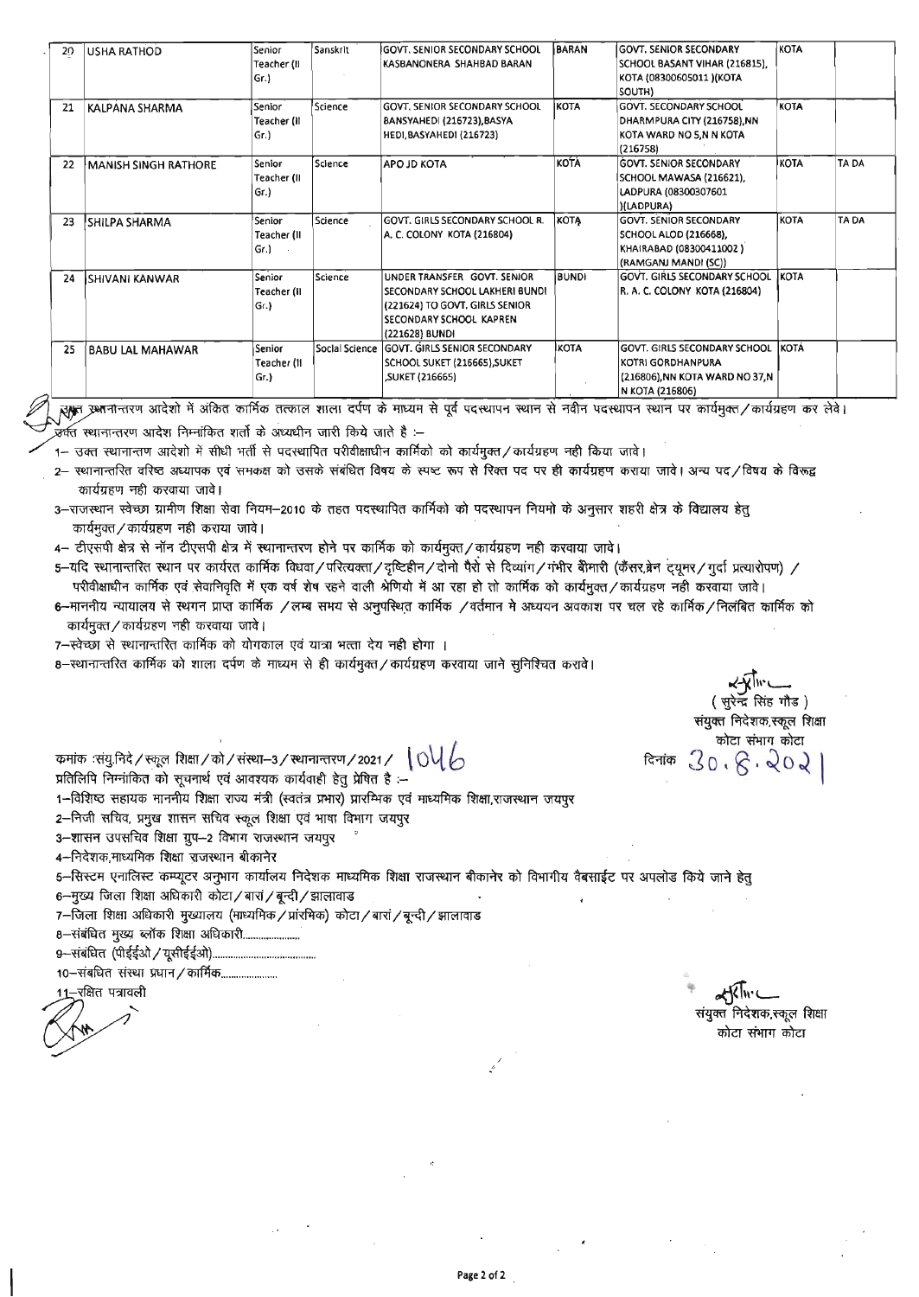| 29 | <b>USHA RATHOD</b>          | Senior      | Sanskrit       | IGOVT. SENIOR SECONDARY SCHOOL  | <b>BARAN</b> | <b>GOVT. SENIOR SECONDARY</b>       | <b>KOTA</b>  |       |
|----|-----------------------------|-------------|----------------|---------------------------------|--------------|-------------------------------------|--------------|-------|
|    |                             | Teacher (II |                | KASBANONERA SHAHBAD BARAN       |              | SCHOOL BASANT VIHAR (216815).       |              |       |
|    |                             | Gr.         |                |                                 |              | KOTA (08300605011) (KOTA            |              |       |
|    |                             |             |                |                                 |              | SOUTH)                              |              |       |
| 21 | KALPANA SHARMA              | Senior      | <b>Science</b> | GOVT. SENIOR SECONDARY SCHOOL   | <b>KOTA</b>  | <b>GOVT, SECONDARY SCHOOL</b>       | <b>KOTA</b>  |       |
|    |                             | Teacher (il |                | BANSYAHEDI (216723), BASYA      |              | DHARMPURA CITY (216758), NN         |              |       |
|    |                             | Gr.         |                | <b>HEDI, BASYAHEDI (216723)</b> |              | KOTA WARD NO 5,N N KOTA             |              |       |
|    |                             |             |                |                                 |              | (216758)                            |              |       |
| 22 | <b>MANISH SINGH RATHORE</b> | Senior      | Science        | APO JD KOTA                     | KOTA         | <b>GOVT. SENIOR SECONDARY</b>       | KOTA         | TA DA |
|    |                             | Teacher (II |                |                                 |              | SCHOOL MAWASA (216621),             |              |       |
|    |                             | Gr.         |                |                                 |              | LADPURA (08300307601                |              |       |
|    |                             |             |                |                                 |              | <b>(ILADPURA)</b>                   |              |       |
| 23 | 'SHILPA SHARMA              | Senior      | Science        | GOVT. GIRLS SECONDARY SCHOOL R. | KOTĄ         | <b>GOVT. SENIOR SECONDARY</b>       | <b>KOTA</b>  | TA DA |
|    |                             | Teacher (II |                | A. C. COLONY KOTA (216804)      |              | <b>SCHOOL ALOD (216668),</b>        |              |       |
|    |                             | Gr.)        |                |                                 |              | KHAIRABAD (08300411002)             |              |       |
|    |                             |             |                |                                 |              | (RAMGANJ MANDI (SC))                |              |       |
| 24 | İSHIVANI KANWAR             | Senior      | Science        | UNDER TRANSFER GOVT, SENIOR     | BUNDI        | GOVT. GIRLS SECONDARY SCHOOL        | <b>KOTA</b>  |       |
|    |                             | Teacher (II |                | SECONDARY SCHOOL LAKHERI BUNDI  |              | R. A. C. COLONY KOTA (216804)       |              |       |
|    |                             | Gr.         |                | (221624) TO GOVT, GIRLS SENIOR  |              |                                     |              |       |
|    |                             |             |                | SECONDARY SCHOOL KAPREN         |              |                                     |              |       |
|    |                             |             |                | (221628) BUNDI                  |              |                                     |              |       |
| 25 | <b>BABU LAL MAHAWAR</b>     | Senior      | Social Science | GOVT. GIRLS SENIOR SECONDARY    | <b>IKOTA</b> | <b>GOVT. GIRLS SECONDARY SCHOOL</b> | <b>IKOTÁ</b> |       |
|    |                             | Teacher (11 |                | SCHOOL SUKET (216665), SUKET    |              | KOTRI GORDHANPURA                   |              |       |
|    |                             | Gr.         |                | ,SUKET (216665)                 |              | (216806),NN KOTA WARD NO 37,N       |              |       |
|    |                             |             |                |                                 |              | N KOTA (216806)                     |              |       |

ह्मकूत उभानान्तरण आदेशो में अंकित कार्मिक तत्काल शाला दर्पण के माध्यम से पूर्व पदस्थापन से नवीन पदस्थापन स्थान पर कार्यमुक्त/कार्यग्रहण कर लेवे।

.<br>उर्वत स्थानान्तरण आदेश निम्नांकित शर्तो के अध्यधीन जारी किये जाते है :–

1– उक्त स्थानान्तण आदेशो में सीधी भर्ती से पदस्थापित परीवीक्षाधीन कार्मिको को कार्यमुक्त/कार्यग्रहण नही किया जावे।

- 2- स्थानान्तरित वरिष्ठ अध्यापक एवं समकक्ष को उसके संबंधित विषय के स्पष्ट रूप से रिक्त पद पर ही कार्यग्रहण कराया जावे। अन्य पद/विषय के विरूद्व कार्यग्रहण नही करवाया जावे।
- 3-राजस्थान स्वेच्छा ग्रामीण शिक्षा सेवा नियम-2010 के तहत पदस्थापित कार्मिको को पदस्थापन नियमो के अनुसार शहरी क्षेत्र के विद्यालय हेतु कार्यमुक्त / कार्यग्रहण नही कराया जावे।
- 4- टीएसपी क्षेत्र से नॉन टीएसपी क्षेत्र में स्थानान्तरण होने पर कार्मिक को कार्यमूक्त/कार्यग्रहण नही करवाया जावे।

5-यदि स्थानान्तरित स्थान पर कार्यरत कार्मिक विधवा/परित्यक्ता/दृष्टिहीन/दोनो पैरो से दिव्यांग/गंभीर बीमारी (कैंसर,ब्रेन ट्यूमर/गुर्दा प्रत्यारोपण) / परीवीक्षाधीन कार्मिक एवं सेवानिवृति में एक वर्ष शेष रहने वाली श्रेणियो में आ रहा हो तो कार्मिक को कार्यमूक्त/कार्यमूकण नही करवाया जावे।

- 6--माननीय न्यायालय से स्थगन प्राप्त कार्मिक /लम्ब सभय से अनुपस्थित कार्मिक /वर्तमान मे अध्ययन अवकाश पर चल रहे कार्मिक/निलंबित कार्मिक को कार्यमुक्त/कार्यग्रहण नही करवाया जावे।
- 7-स्वेच्छा से स्थानान्तरित कार्मिक को योगकाल एवं यात्रा भत्ता देय नही होगा ।
- 8-स्थानान्तरित कार्मिक को शाला दर्पण के माध्यम से ही कार्यमुक्त/कार्यग्रहण करवाया जाने सुनिश्चित करावे।

(सुरेन्द्र सिंह गौड) संयुक्त निदेशक,स्कूल शिक्षा कोटा संभाग कोटा विनांक  $30.8.202$ 

कमांक :संयु.निदे / स्कूल शिक्षा / को / संस्था-3 / स्थानान्तरण / 2021 /  $\bigcup \bigcup \bigcup$ 

प्रतिलिपि निम्नांकित को सूचनार्थ एवं आवश्यक कार्यवाही हेतू प्रेषित है :--

1-विशिष्ठ सहायक माननीय शिक्षा राज्य मंत्री (स्वतंत्र प्रभार) प्रारम्भिक एवं माध्यमिक शिक्षा,राजस्थान जयपूर

- 2-निजी सचिव, प्रमुख शासन सचिव स्कूल शिक्षा एवं भाषा विभाग जयपुर
- 3-शासन उपसचिव शिक्षा ग्रुप-2 विभाग राजस्थान जयपुर
- 4-निदेशक,माध्यमिक शिक्षा राजस्थान बीकानेर
- 5-सिस्टम एनालिस्ट कम्प्यूटर अनुभाग कार्यालय निदेशक माध्यमिक शिक्षा राजस्थान बीकानेर को विभागीय वैबसाईट पर अपलोड किये जाने हेतु
- 6-मुख्य जिला शिक्षा अधिकारी कोटा/बारां/बून्दी/झालावाड
- 7-जिला शिक्षा अधिकारी मुख्यालय (माध्यमिक / प्रांरमिक) कोटा / बारां / बून्दी / झालावाड
- 8-संबंधित मुख्य ब्लॉक शिक्षा अधिकारी......................

10–संबधित संस्था प्रधान / कार्मिक…………………

।1–रक्षित पत्रावली

大人い संयुक्त निदेशक,स्कूल शिक्षा कोटा संभाग कोटा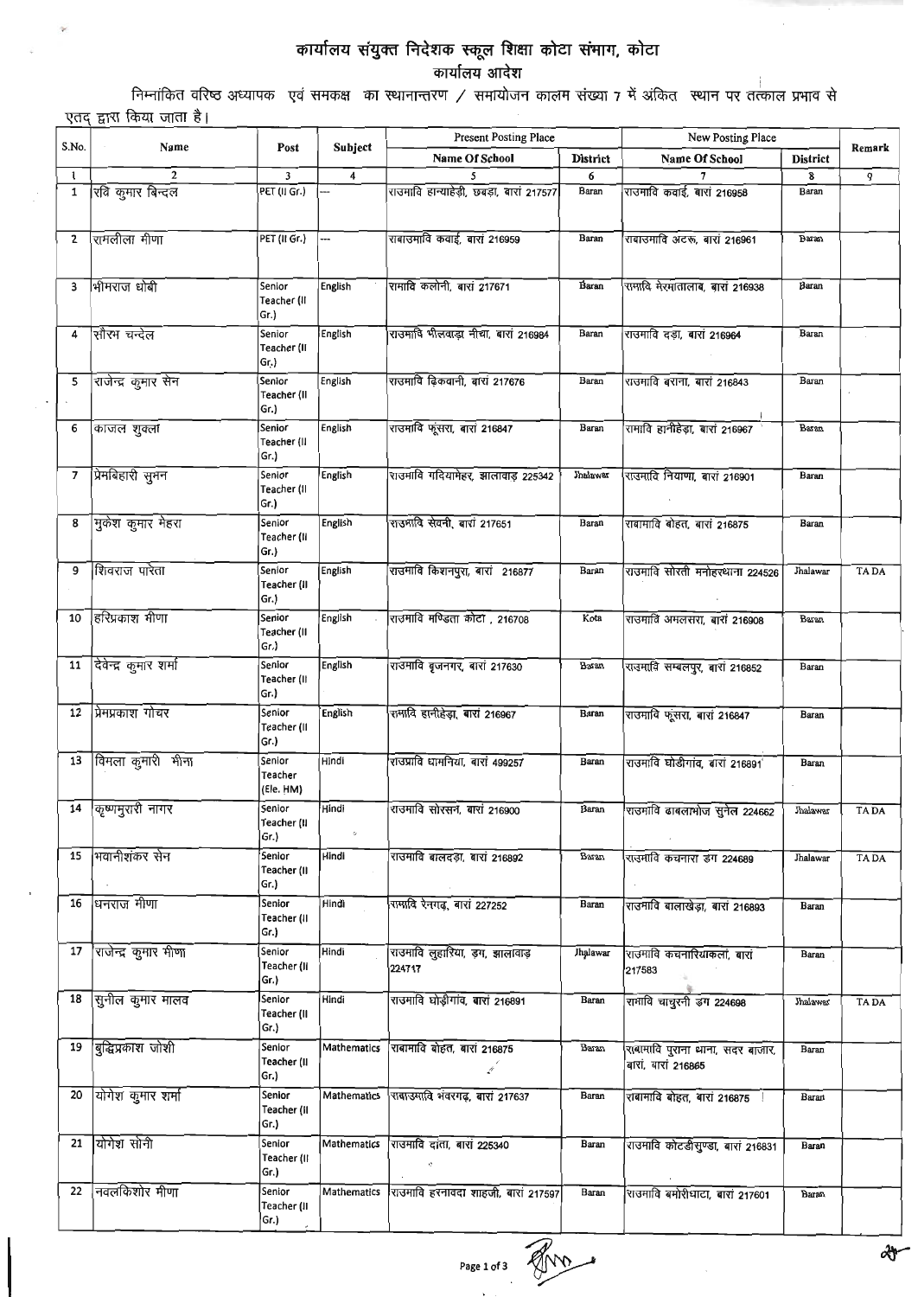## कार्यालय संयुक्त निदेशक स्कूल शिक्षा कोटा संमाग, कोटा<br>कार्यालय आदेश

निम्नांकित वरिष्ठ अध्यापक) एवं समकक्ष का स्थानान्तरण / समायोजन कालम संख्या 7 में अंकित) स्थान पर तत्काल प्रभाव से एतद् द्वारा किया जाता है।

ö

| S.No. | Name                    | Post                           |                       | <b>Present Posting Place</b>              |                 | New Posting Place                                       |                 |             |
|-------|-------------------------|--------------------------------|-----------------------|-------------------------------------------|-----------------|---------------------------------------------------------|-----------------|-------------|
|       |                         |                                | Subject               | <b>Name Of School</b>                     | <b>District</b> | Name Of School                                          | <b>District</b> | Remark      |
| 1     | $\overline{2}$          | 3                              | 4                     |                                           | 6               |                                                         | 8               | 9           |
| 1     | रिवि कुमार बिन्दल       | PET (II Gr.)                   |                       | राउमावि हान्याहेड़ी, छबड़ा, बारां 217577  | Baran           | राउमावि कवाई, बारां 216958                              | <b>Baran</b>    |             |
| 2     | रामलीला मीणा            | PET (II Gr.)                   |                       | राबाउमावि कवाई, बारा 216959               | Baran           | राबाउमावि अटरू, बारां 216961                            | Baran           |             |
| з     | भीमराज धोबी             | Senior<br>Teacher (II<br>Gr.)  | <b>English</b>        | रामावि कलोनी, बारां 217671                | <b>Baran</b>    | रामावि मेरमातालाब, बारा 216938                          | Baran           |             |
| 4     | सौरम चन्देल             | Senior<br>Teacher (II<br>Gr.)  | English               | राउमावि भीलवाड़ा नीचा, बारां 216984       | Baran           | राउमावि दड़ा, बारां 216964                              | Baran           |             |
| 5     | राजेन्द्र कुमार सेन     | Senior<br>Teacher (II<br>Gr.)  | English               | राउमावि ढ़िकवानी, बारां 217676            | Baran           | राउमावि बराना, बारां 216843                             | Baran           |             |
| 6     | काजल शुक्ला             | Senior<br>Teacher (II<br>Gr.)  | English               | राउमावि फूंसरा, बारां 216847              | Baran           | रामावि हानीहेड़ा, बारां 216967                          | Baran           |             |
| 7     | प्रिमबिहारी सुमन        | Senior<br>Teacher (II<br>Gr.)  | English               | राउमावि गदियामेहर, झालावाड़ 225342        | Jhalawar        | राउमावि नियाणा, बारां 216901                            | Baran           |             |
| 8     | मुकेश कुमार मेहरा       | Senior<br>Teacher (II<br>Gr.)  | English               | राउमावि सेवनी, बारां 217651               | Baran           | राबामावि बोहत, बारां 216875                             | Baran           |             |
| 9     | शिवराज पारेता           | Senior<br>Teacher (II<br>Gr.)  | English               | राउमावि किशनपुरा, बारां 216877            | Baran           | राउमावि सोरती मनोहरधाना 224526                          | Jhalawar        | <b>TADA</b> |
| 10    | हरिप्रकाश मीणा          | Senior<br>Teacher (II<br>Gr.)  | English               | राउमावि मण्डिता कोटा , 216708             | Kota            | राउमावि अमलसरा, बारां 216908                            | Baran           |             |
| 11    | दिवेन्द्र कुमार शर्मा   | Senior<br>Teacher (II<br>Gr.)  | English               | राउमावि बृजनगर, बारां 217630              | Baran           | राउमावि सम्बलपुर, बारां 216852                          | Baran           |             |
| 12    | प्रेमप्रकाश गोचर        | Senior<br>Teacher (II<br>Gr.)  | English               | रामावि हानीहेड़ा, बारां 216967            | Baran           | राउमावि फूंसरा, बारां 216847                            | Baran           |             |
| 13    | विमला कुमारी मीना       | Senior<br>Teacher<br>(Ele. HM) | Hindi                 | राउप्रावि धामनिया, बारां 499257           | Baran           | राउमावि घोडीगांव, बारां 216891                          | Baran           |             |
|       | 14   कृष्णमुरारी नागर   | Senior<br>Teacher (II<br>Gr.)  | Hindi<br>$\ddot{\nu}$ | राउमावि सोरसन, बारां 216900               | Baran           | राउमावि ढाबलामोज सुनेल 224662                           | Jhalawar        | TA DA       |
|       | 15  भवानीशंकर सेन       | Senior<br>Teacher (II<br>Gr.)  | Hindi                 | राउमावि बालदड़ा, बारां 216892             | Baran           | राउमावि कचनारा डग 224689                                | Jhalawar        | TA DA       |
|       | 16 धनराज मीणा           | Senior<br>Teacher (II<br>Gr.)  | Hindi                 | रामावि रेनगढ़, बारां 227252               | Baran           | राउमावि बालाखेड़ा, बारां 216893                         | Baran           |             |
|       | 17 राजेन्द्र कुमार मीणा | Senior<br>Teacher (II<br>Gr.)  | Hindi                 | राउमावि लुहारिया, ड़ग, झालावाड़<br>224717 | Jhalawar        | राउमावि कचनारियाकलां, बारां<br>217583                   | Baran           |             |
|       | 18 सुनील कुमार मालव     | Senior<br>Teacher (II<br>Gr.)  | Hindi                 | राउमावि घोड़ीगांव, बारां 216891           | Baran           | रामावि चाचुरनी डग 224698                                | Jhalawar        | <b>TADA</b> |
|       | 19 बुद्धिप्रकाश जोशी    | Senior<br>Teacher (II<br>Gr.)  | Mathematics           | राबामावि बोहत, बारां 216875<br>ø          | Baran           | राबामावि पुराना थाना, सदर बाजार,<br>बारां, बारां 216865 | Baran           |             |
|       | 20 योगेश कुमार शर्मा    | Senior<br>Teacher (il<br>Gr.)  | Mathematics           | राबाउमावि भवरगढ़, बारा 217637             | Baran           | राबामावि बोहत, बारां 216875                             | Baran           |             |
|       | 21 योगेश सोनी           | Senior<br>Teacher (II<br>Gr.)  |                       | Mathematics राउमावि दांता, बारां 225340   | Baran           | राउमावि कोटडीसुण्डा, बारां 216831                       | Baran           |             |
| 22    | निवलकिशोर मीणा          | Senior<br>Teacher (II<br>Gr.)  | Mathematics           | राउमावि हरनावदा शाहजी, बारां 217597       | Baran           | राउमावि बमोरीघाटा, बारा 217601                          | Baran           |             |

Page 1 of 3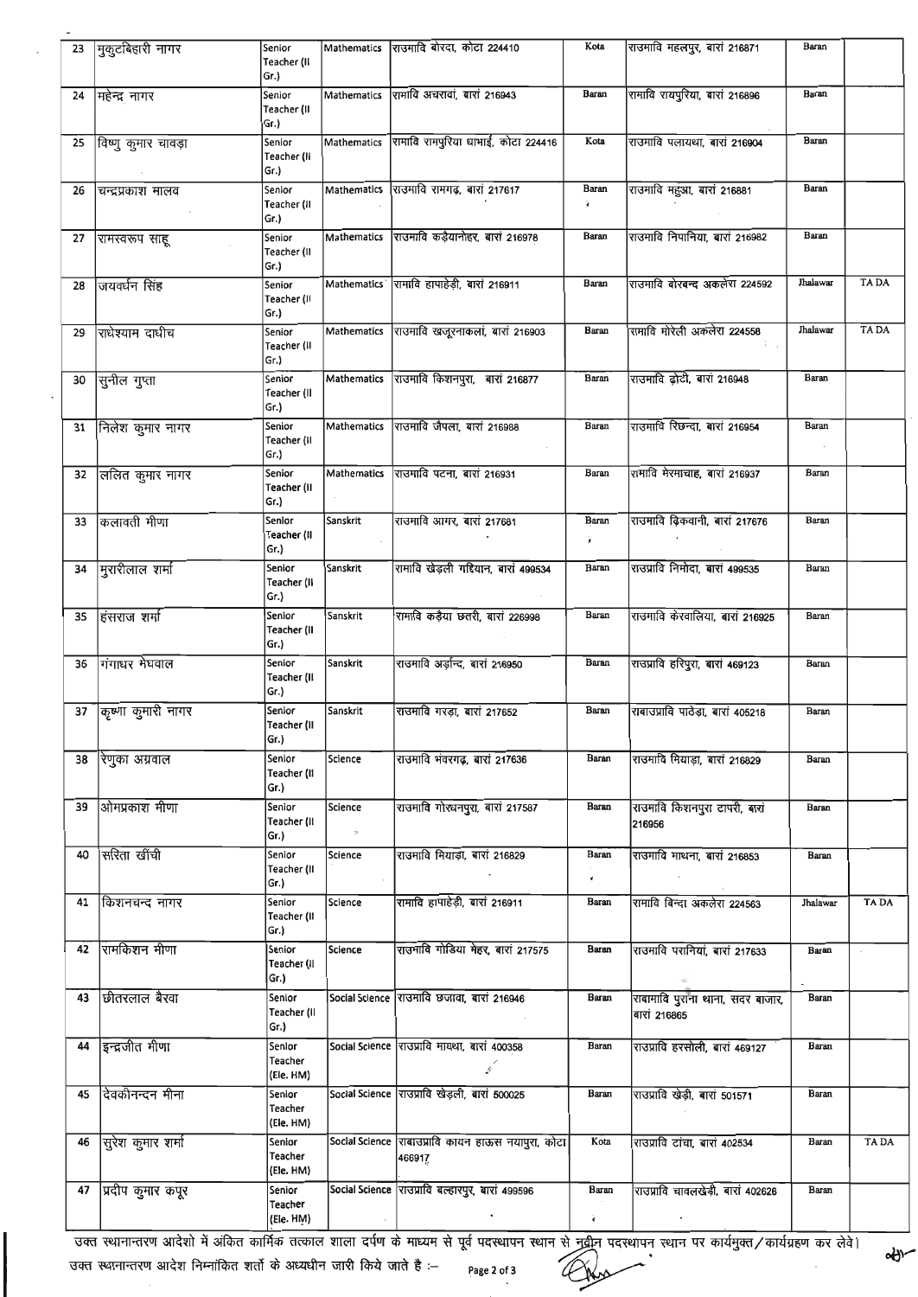| 23 | मुकुटबिहारी नागर      | Senior                         |             | Mathematics राजमावि बोरदा, कोटा 224410                       | Kota                          | राउमावि महलपुर, बारां 216871                     | Baran        |             |
|----|-----------------------|--------------------------------|-------------|--------------------------------------------------------------|-------------------------------|--------------------------------------------------|--------------|-------------|
|    |                       | Teacher (II<br>Gr.)            |             |                                                              |                               |                                                  |              |             |
| 24 | मिहेन्द्र नागर        | Senior<br>Teacher (II<br>Gr.)  |             | Mathematics रामावि अचरावां, बारां 216943                     | Baran                         | रामावि रायपुरिया, बारां 216896                   | Baran        |             |
| 25 | ं विष्णु कुमार चावड़ा | Senior<br>Teacher (II<br>Gr.)  |             | Mathematics रामावि रामपुरिया धामाई, कोटा 224416              | Kota                          | राउमावि पलायथा, बारां 216904                     | Baran        |             |
| 26 | चन्द्रप्रकाश मालव     | Senior<br>Teacher (II<br>Gr.)  | Mathematics | राउमावि रामगढ़, बारां 217617                                 | Baran<br>¥.                   | राउमावि महुआ, बारां 216881                       | <b>Baran</b> |             |
|    | 27 शिमस्वरूप साहू     | Senior<br>Teacher (II<br>Gr.)  |             | Mathematics राउमावि कड़ैयानोहर, बारां 216978                 | Baran                         | राउमावि निपानिया, बारां 216982                   | Baran        |             |
| 28 | जियवर्धन सिंह         | Senior<br>Teacher (II<br>Gr.)  |             | Mathematics रामावि हापाहेड़ी, बारां 216911                   | Baran                         | राउमावि बोरबन्द अकलेरा 224592                    | Jhalawar     | <b>TADA</b> |
| 29 | राधेश्याम दाधीच       | Senior<br>Teacher (II<br>Gr.)  |             | Mathematics राउमावि खजूरनाकलां, बारां 216903                 | Baran                         | रामावि मोरेली अंकलेरा 224558                     | Jhalawar     | <b>TADA</b> |
| 30 | सुनील गुप्ता          | Senior<br>Teacher (II<br>Gr.)  |             | Mathematics राउमावि किशनपुरा, बारां 216877                   | Baran                         | राउमावि ढोटी, बारां 216948                       | Baran        |             |
| 31 | निलेश कुमार नागर      | Senior<br>Teacher (II<br>Gr.)  |             | Mathematics राउमावि जैपला, बारां 216988                      | Baran                         | राउमावि रिछन्दा, बारां 216954                    | Baran        |             |
| 32 | लिलित कुमार नागर      | Senior<br>Teacher (II<br>Gr.)  | Mathematics | राउमावि पटना, बारां 216931                                   | Baran                         | रामावि मेरमाचाह, बारां 216937                    | Baran        |             |
| 33 | किलावती मीणा          | Senior<br>Teacher (II<br>Gr.)  | Sanskrit    | राउमावि आगर, बारां 217681                                    | Baran<br>ż.                   | राउमावि ढ़िकवानी, बारां 217676                   | Baran        |             |
| 34 | मुरारीलाल शर्मा       | Senior<br>Teacher (II<br>Gr.)  | Sanskrit    | रामावि खेड़ली गद्दियान, बारां 499534                         | Baran                         | राउप्रावि निर्मादा, बारां 499535                 | Baran        |             |
| 35 | हिंसराज शर्मा         | Senior<br>Teacher (II<br>Gr.)  | Sanskrit    | रामावि कड़ैया छतरी, बारां 226998                             | Baran                         | राउमावि केरवालिया, बारा 216925                   | Baran        |             |
| 36 | गिंगाधर मेघवाल        | Senior<br>Teacher (II<br>Gr.)  | Sanskrit    | राउमावि अर्ज़न्द, बारां 216950                               | Baran                         | राउप्रावि हरिपुरा, बारां 469123                  | Baran        |             |
|    | 37 किष्णा कुमारी नागर | Senior<br>Teacher (II<br>Gr.)  | Sanskrit    | राउमावि गरड़ा, बारां 217652                                  | Baran                         | राबाउप्रावि पाठेड़ा, बारां 405218                | Baran        |             |
| 38 | रेणुका अग्रवाल        | Senior<br>Teacher (II<br>Gr.)  | Science     | राउमावि भंवरगढ़, बारां 217636                                | Baran                         | राउमावि मियाड़ा, बारां 216829                    | Baran        |             |
| 39 | ओमप्रकाश मीणा         | Senior<br>Teacher (II<br>Gr.)  | Science     | राउमावि गोरधनपुरा, बारां 217587                              | Baran                         | राउमावि किशनपुरा टापरी, बारां<br>216956          | Baran        |             |
| 40 | सरिता खींची           | Senior<br>Teacher (II<br>Gr.)  | Science     | राउमावि मियाड़ा, बारां 216829                                | Baran<br>$\blacktriangleleft$ | राउमावि माथना, बारां 216853                      | Baran        |             |
| 41 | किशनचन्द नागर         | Senior<br>Teacher (il<br>Gr.)  | Science     | रामावि हापाहेड़ी, बारां 216911                               | Baran                         | रामावि बिन्दा अकलेरा 224563                      | Jhalawar     | TA DA       |
| 42 | रामकिशन मीणा          | Senior<br>Teacher (Il<br>Gr.)  | Science     | राउमावि गोडिया मेहर, बारा 217575                             | Baran                         | राउमावि परानियां, बारां 217633                   | Baran        |             |
| 43 | छितरलाल बैरवा         | Senior<br>Teacher (II<br>Gr.)  |             | Social Science राउमावि छजावा, बारां 216946                   | Baran                         | राबामावि पुराना थाना, सदर बाजार,<br>बारां 216865 | Baran        |             |
| 44 | इन्द्रजीत मीणा        | Senlor<br>Teacher<br>(Ele. HM) |             | Social Science राउप्रावि मायथा, बारां 400358<br>. p          | Baran                         | राउप्रावि हरसोली, बारां 469127                   | Baran        |             |
| 45 | दिवकीनन्दन मीना       | Senior<br>Teacher<br>(Ele. HM) |             | Social Science राउप्रावि खेड़ली, बारां 500025                | Baran                         | राउप्रावि खेड़ी, बारां 501571                    | Baran        |             |
| 46 | सुिरेश कुमार शर्मा    | Senior<br>Teacher<br>(Ele. HM) |             | Social Science राबाउप्रावि कायन हाऊस नयापुरा, कोटा<br>466917 | Kota                          | राउप्रावि टांचा, बारां 402534                    | Baran        | <b>TADA</b> |
| 47 | प्रदीप कुमार कपूर     | Senior<br>Teacher              |             | Social Science राउप्रावि बल्हारपुर, बारां 499596             | Baran                         | राउप्रावि चावलखेड़ी, बारां 402626                | Baran        |             |
|    |                       | (Ele. HM)                      |             |                                                              | è                             |                                                  |              |             |

ं उक्त स्थानान्तरण आदेशो में अंकित कार्मिक तत्काल शाला दर्पण के माध्यम से पूर्व पदस्थापन स्थान पे नवीन पदस्थापन स्थान पर कार्यमुक्त / कार्यग्रहण कर लेवे।<br>उक्त स्थानान्तरण आदेश निम्नांकित शर्तो के अध्यधीन जारी किये जाते ह

उक्त स्थानान्तरण आदेश निम्नांकित शर्तो के अध्यधीन जारी किये जाते है :-  $\;$   $_{\sf page\,2\,of\,3}$